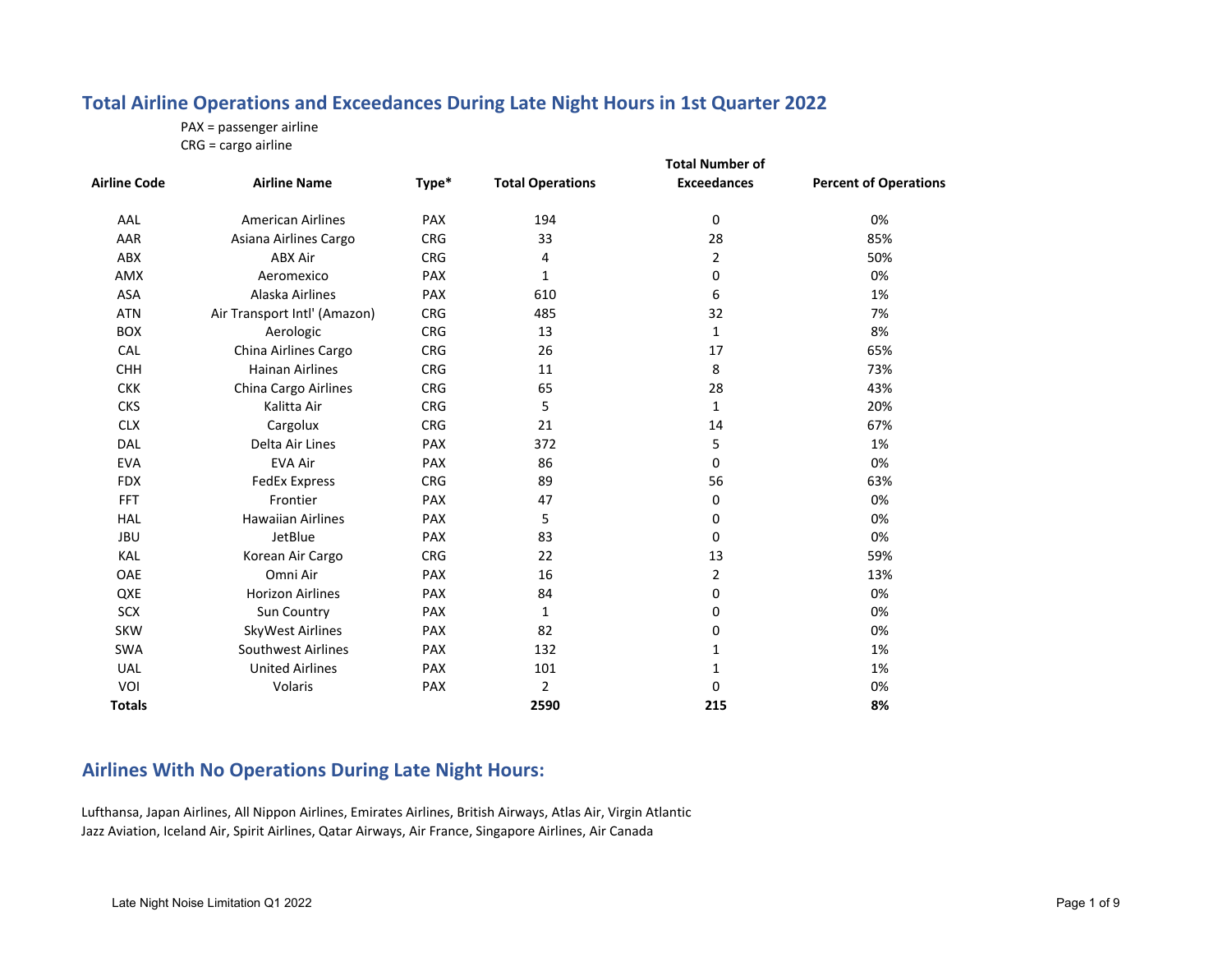#### **Total Airline Operations and Exceedances During Late Night Hours in 1st Quarter 2022**

PAX <sup>=</sup> passenger airline

CRG <sup>=</sup> cargo airline

|                     |                              | <b>Total Number of</b> |                         |                    |                              |  |  |
|---------------------|------------------------------|------------------------|-------------------------|--------------------|------------------------------|--|--|
| <b>Airline Code</b> | <b>Airline Name</b>          | Type*                  | <b>Total Operations</b> | <b>Exceedances</b> | <b>Percent of Operations</b> |  |  |
| AAL                 | <b>American Airlines</b>     | <b>PAX</b>             | 194                     | 0                  | 0%                           |  |  |
| AAR                 | Asiana Airlines Cargo        | <b>CRG</b>             | 33                      | 28                 | 85%                          |  |  |
| ABX                 | <b>ABX Air</b>               | <b>CRG</b>             | 4                       | $\overline{2}$     | 50%                          |  |  |
| AMX                 | Aeromexico                   | <b>PAX</b>             | $\mathbf{1}$            | 0                  | 0%                           |  |  |
| ASA                 | Alaska Airlines              | <b>PAX</b>             | 610                     | 6                  | 1%                           |  |  |
| <b>ATN</b>          | Air Transport Intl' (Amazon) | <b>CRG</b>             | 485                     | 32                 | 7%                           |  |  |
| BOX                 | Aerologic                    | <b>CRG</b>             | 13                      | 1                  | 8%                           |  |  |
| CAL                 | China Airlines Cargo         | <b>CRG</b>             | 26                      | 17                 | 65%                          |  |  |
| <b>CHH</b>          | <b>Hainan Airlines</b>       | <b>CRG</b>             | 11                      | 8                  | 73%                          |  |  |
| <b>CKK</b>          | China Cargo Airlines         | <b>CRG</b>             | 65                      | 28                 | 43%                          |  |  |
| <b>CKS</b>          | Kalitta Air                  | <b>CRG</b>             | 5                       | $\mathbf{1}$       | 20%                          |  |  |
| <b>CLX</b>          | Cargolux                     | <b>CRG</b>             | 21                      | 14                 | 67%                          |  |  |
| DAL                 | Delta Air Lines              | <b>PAX</b>             | 372                     | 5                  | 1%                           |  |  |
| <b>EVA</b>          | <b>EVA Air</b>               | <b>PAX</b>             | 86                      | 0                  | 0%                           |  |  |
| <b>FDX</b>          | <b>FedEx Express</b>         | <b>CRG</b>             | 89                      | 56                 | 63%                          |  |  |
| <b>FFT</b>          | Frontier                     | <b>PAX</b>             | 47                      | 0                  | 0%                           |  |  |
| <b>HAL</b>          | <b>Hawaiian Airlines</b>     | <b>PAX</b>             | 5                       | 0                  | 0%                           |  |  |
| <b>JBU</b>          | JetBlue                      | <b>PAX</b>             | 83                      | 0                  | 0%                           |  |  |
| KAL                 | Korean Air Cargo             | <b>CRG</b>             | 22                      | 13                 | 59%                          |  |  |
| OAE                 | Omni Air                     | <b>PAX</b>             | 16                      | $\overline{2}$     | 13%                          |  |  |
| QXE                 | <b>Horizon Airlines</b>      | <b>PAX</b>             | 84                      | 0                  | 0%                           |  |  |
| <b>SCX</b>          | Sun Country                  | <b>PAX</b>             | $\mathbf{1}$            | 0                  | 0%                           |  |  |
| <b>SKW</b>          | SkyWest Airlines             | <b>PAX</b>             | 82                      | 0                  | 0%                           |  |  |
| <b>SWA</b>          | Southwest Airlines           | <b>PAX</b>             | 132                     | 1                  | 1%                           |  |  |
| <b>UAL</b>          | <b>United Airlines</b>       | <b>PAX</b>             | 101                     | 1                  | 1%                           |  |  |
| VOI                 | Volaris                      | <b>PAX</b>             | 2                       | 0                  | 0%                           |  |  |
| <b>Totals</b>       |                              |                        | 2590                    | 215                | 8%                           |  |  |

#### **Airlines With No Operations During Late Night Hours:**

Lufthansa, Japan Airlines, All Nippon Airlines, Emirates Airlines, British Airways, Atlas Air, Virgin Atlantic Jazz Aviation, Iceland Air, Spirit Airlines, Qatar Airways, Air France, Singapore Airlines, Air Canada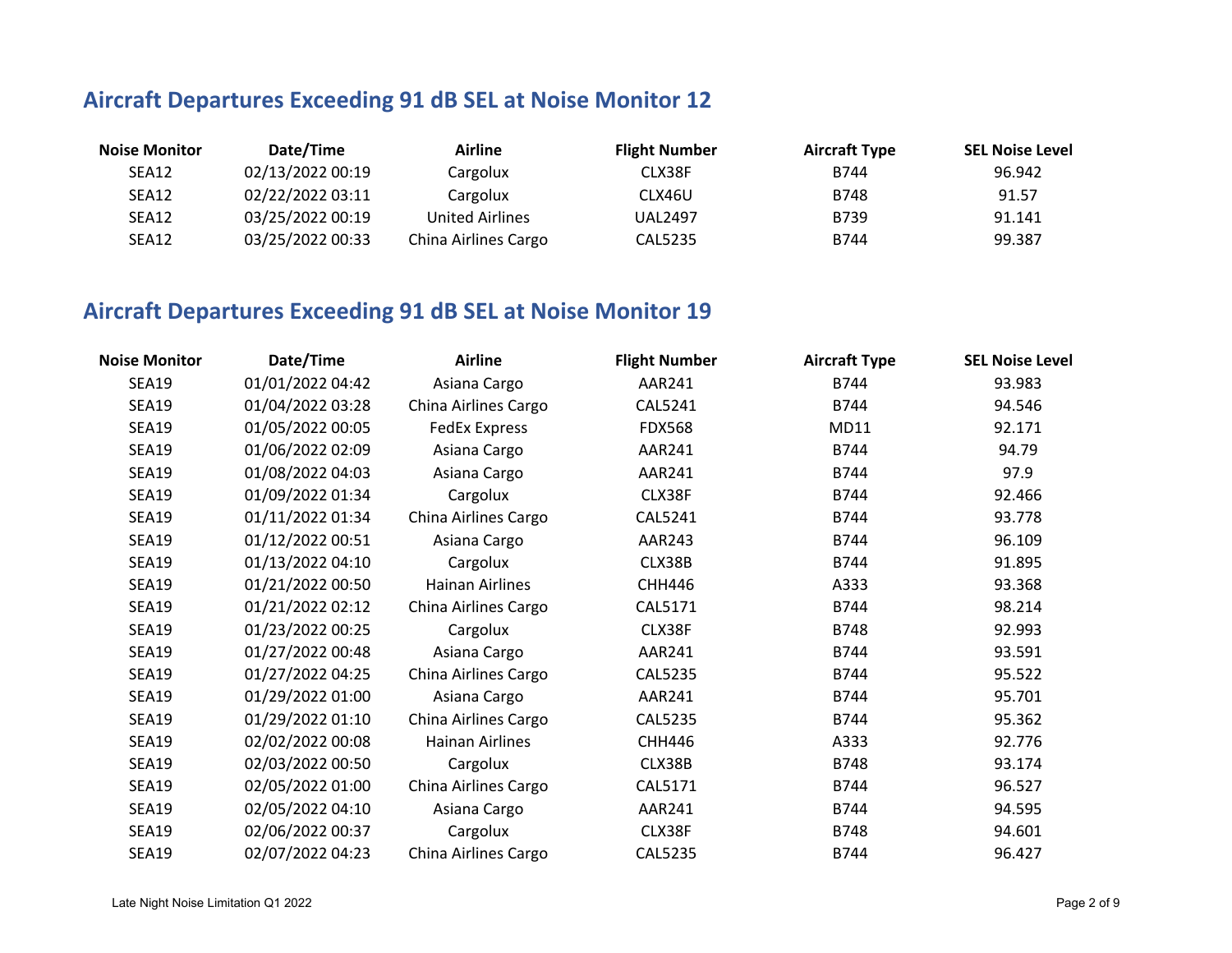# **Aircraft Departures Exceeding 91 dB SEL at Noise Monitor 12**

| <b>Noise Monitor</b> | Date/Time        | Airline                | <b>Flight Number</b> | <b>Aircraft Type</b> | <b>SEL Noise Level</b> |
|----------------------|------------------|------------------------|----------------------|----------------------|------------------------|
| SEA12                | 02/13/2022 00:19 | Cargolux               | CLX38F               | B744                 | 96.942                 |
| SEA12                | 02/22/2022 03:11 | Cargolux               | CLX46U               | B748                 | 91.57                  |
| SEA12                | 03/25/2022 00:19 | <b>United Airlines</b> | <b>UAL2497</b>       | B739                 | 91.141                 |
| SEA12                | 03/25/2022 00:33 | China Airlines Cargo   | CAL5235              | B744                 | 99.387                 |

## **Aircraft Departures Exceeding 91 dB SEL at Noise Monitor 19**

| <b>Noise Monitor</b> | Date/Time        | <b>Airline</b>         | <b>Flight Number</b> | <b>Aircraft Type</b> | <b>SEL Noise Level</b> |
|----------------------|------------------|------------------------|----------------------|----------------------|------------------------|
| <b>SEA19</b>         | 01/01/2022 04:42 | Asiana Cargo           | AAR241               | B744                 | 93.983                 |
| <b>SEA19</b>         | 01/04/2022 03:28 | China Airlines Cargo   | CAL5241              | B744                 | 94.546                 |
| <b>SEA19</b>         | 01/05/2022 00:05 | <b>FedEx Express</b>   | <b>FDX568</b>        | MD11                 | 92.171                 |
| <b>SEA19</b>         | 01/06/2022 02:09 | Asiana Cargo           | AAR241               | B744                 | 94.79                  |
| <b>SEA19</b>         | 01/08/2022 04:03 | Asiana Cargo           | AAR241               | B744                 | 97.9                   |
| <b>SEA19</b>         | 01/09/2022 01:34 | Cargolux               | CLX38F               | B744                 | 92.466                 |
| <b>SEA19</b>         | 01/11/2022 01:34 | China Airlines Cargo   | CAL5241              | B744                 | 93.778                 |
| <b>SEA19</b>         | 01/12/2022 00:51 | Asiana Cargo           | AAR243               | B744                 | 96.109                 |
| <b>SEA19</b>         | 01/13/2022 04:10 | Cargolux               | CLX38B               | B744                 | 91.895                 |
| <b>SEA19</b>         | 01/21/2022 00:50 | <b>Hainan Airlines</b> | <b>CHH446</b>        | A333                 | 93.368                 |
| <b>SEA19</b>         | 01/21/2022 02:12 | China Airlines Cargo   | CAL5171              | B744                 | 98.214                 |
| <b>SEA19</b>         | 01/23/2022 00:25 | Cargolux               | CLX38F               | B748                 | 92.993                 |
| <b>SEA19</b>         | 01/27/2022 00:48 | Asiana Cargo           | AAR241               | B744                 | 93.591                 |
| <b>SEA19</b>         | 01/27/2022 04:25 | China Airlines Cargo   | <b>CAL5235</b>       | B744                 | 95.522                 |
| <b>SEA19</b>         | 01/29/2022 01:00 | Asiana Cargo           | AAR241               | B744                 | 95.701                 |
| <b>SEA19</b>         | 01/29/2022 01:10 | China Airlines Cargo   | <b>CAL5235</b>       | B744                 | 95.362                 |
| <b>SEA19</b>         | 02/02/2022 00:08 | Hainan Airlines        | <b>CHH446</b>        | A333                 | 92.776                 |
| <b>SEA19</b>         | 02/03/2022 00:50 | Cargolux               | CLX38B               | B748                 | 93.174                 |
| <b>SEA19</b>         | 02/05/2022 01:00 | China Airlines Cargo   | CAL5171              | B744                 | 96.527                 |
| <b>SEA19</b>         | 02/05/2022 04:10 | Asiana Cargo           | AAR241               | B744                 | 94.595                 |
| <b>SEA19</b>         | 02/06/2022 00:37 | Cargolux               | CLX38F               | B748                 | 94.601                 |
| <b>SEA19</b>         | 02/07/2022 04:23 | China Airlines Cargo   | <b>CAL5235</b>       | B744                 | 96.427                 |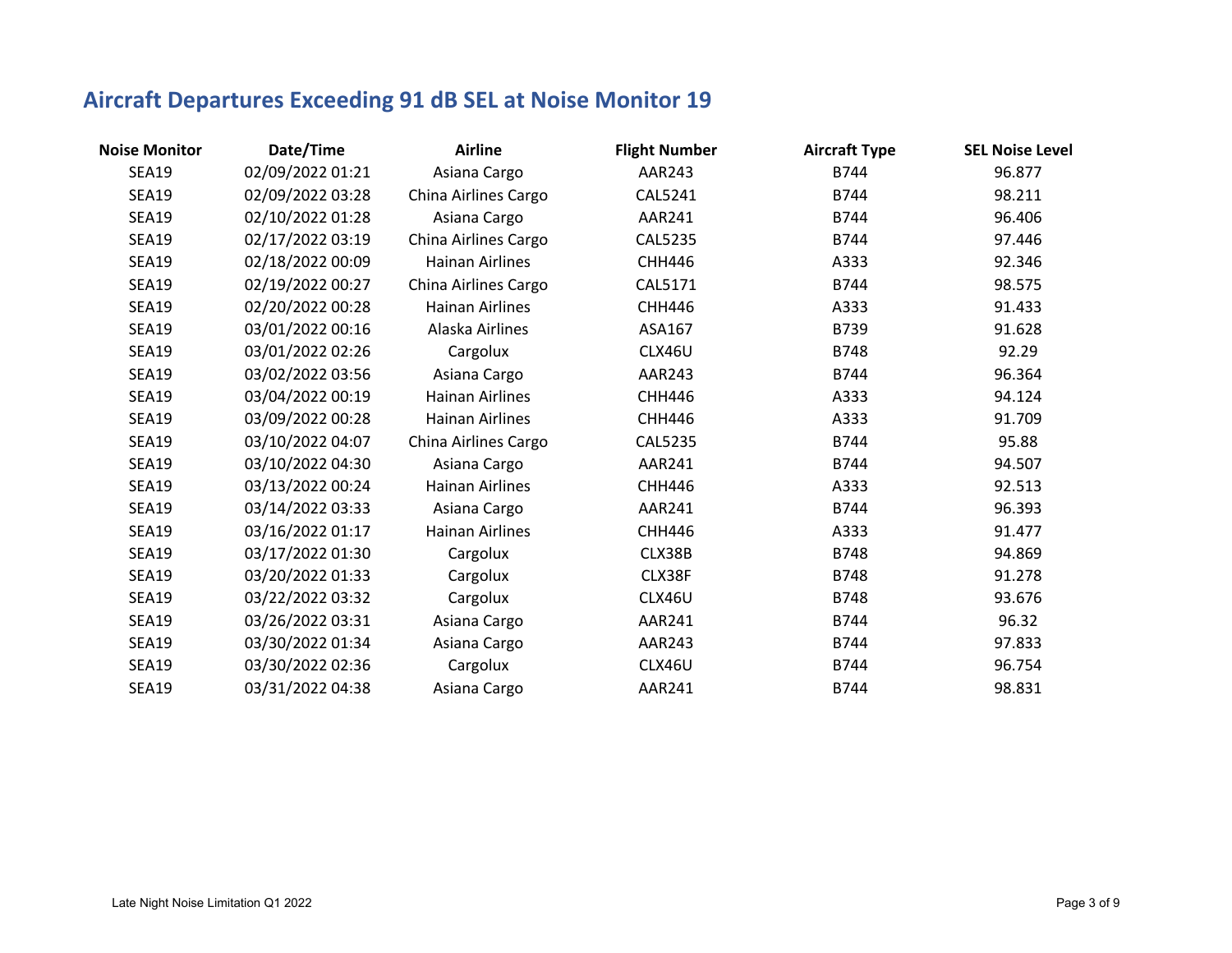# **Aircraft Departures Exceeding 91 dB SEL at Noise Monitor 19**

| <b>Noise Monitor</b> | Date/Time        | <b>Airline</b>         | <b>Flight Number</b> | <b>Aircraft Type</b> | <b>SEL Noise Level</b> |
|----------------------|------------------|------------------------|----------------------|----------------------|------------------------|
| <b>SEA19</b>         | 02/09/2022 01:21 | Asiana Cargo           | AAR243               | B744                 | 96.877                 |
| <b>SEA19</b>         | 02/09/2022 03:28 | China Airlines Cargo   | <b>CAL5241</b>       | B744                 | 98.211                 |
| <b>SEA19</b>         | 02/10/2022 01:28 | Asiana Cargo           | AAR241               | B744                 | 96.406                 |
| <b>SEA19</b>         | 02/17/2022 03:19 | China Airlines Cargo   | <b>CAL5235</b>       | B744                 | 97.446                 |
| <b>SEA19</b>         | 02/18/2022 00:09 | <b>Hainan Airlines</b> | <b>CHH446</b>        | A333                 | 92.346                 |
| <b>SEA19</b>         | 02/19/2022 00:27 | China Airlines Cargo   | CAL5171              | B744                 | 98.575                 |
| <b>SEA19</b>         | 02/20/2022 00:28 | <b>Hainan Airlines</b> | <b>CHH446</b>        | A333                 | 91.433                 |
| <b>SEA19</b>         | 03/01/2022 00:16 | Alaska Airlines        | ASA167               | B739                 | 91.628                 |
| <b>SEA19</b>         | 03/01/2022 02:26 | Cargolux               | CLX46U               | B748                 | 92.29                  |
| <b>SEA19</b>         | 03/02/2022 03:56 | Asiana Cargo           | AAR243               | B744                 | 96.364                 |
| <b>SEA19</b>         | 03/04/2022 00:19 | <b>Hainan Airlines</b> | <b>CHH446</b>        | A333                 | 94.124                 |
| <b>SEA19</b>         | 03/09/2022 00:28 | <b>Hainan Airlines</b> | <b>CHH446</b>        | A333                 | 91.709                 |
| <b>SEA19</b>         | 03/10/2022 04:07 | China Airlines Cargo   | <b>CAL5235</b>       | B744                 | 95.88                  |
| <b>SEA19</b>         | 03/10/2022 04:30 | Asiana Cargo           | AAR241               | B744                 | 94.507                 |
| <b>SEA19</b>         | 03/13/2022 00:24 | <b>Hainan Airlines</b> | <b>CHH446</b>        | A333                 | 92.513                 |
| <b>SEA19</b>         | 03/14/2022 03:33 | Asiana Cargo           | AAR241               | B744                 | 96.393                 |
| <b>SEA19</b>         | 03/16/2022 01:17 | <b>Hainan Airlines</b> | <b>CHH446</b>        | A333                 | 91.477                 |
| <b>SEA19</b>         | 03/17/2022 01:30 | Cargolux               | CLX38B               | <b>B748</b>          | 94.869                 |
| <b>SEA19</b>         | 03/20/2022 01:33 | Cargolux               | CLX38F               | <b>B748</b>          | 91.278                 |
| <b>SEA19</b>         | 03/22/2022 03:32 | Cargolux               | CLX46U               | <b>B748</b>          | 93.676                 |
| <b>SEA19</b>         | 03/26/2022 03:31 | Asiana Cargo           | AAR241               | B744                 | 96.32                  |
| <b>SEA19</b>         | 03/30/2022 01:34 | Asiana Cargo           | AAR243               | B744                 | 97.833                 |
| <b>SEA19</b>         | 03/30/2022 02:36 | Cargolux               | CLX46U               | B744                 | 96.754                 |
| <b>SEA19</b>         | 03/31/2022 04:38 | Asiana Cargo           | AAR241               | B744                 | 98.831                 |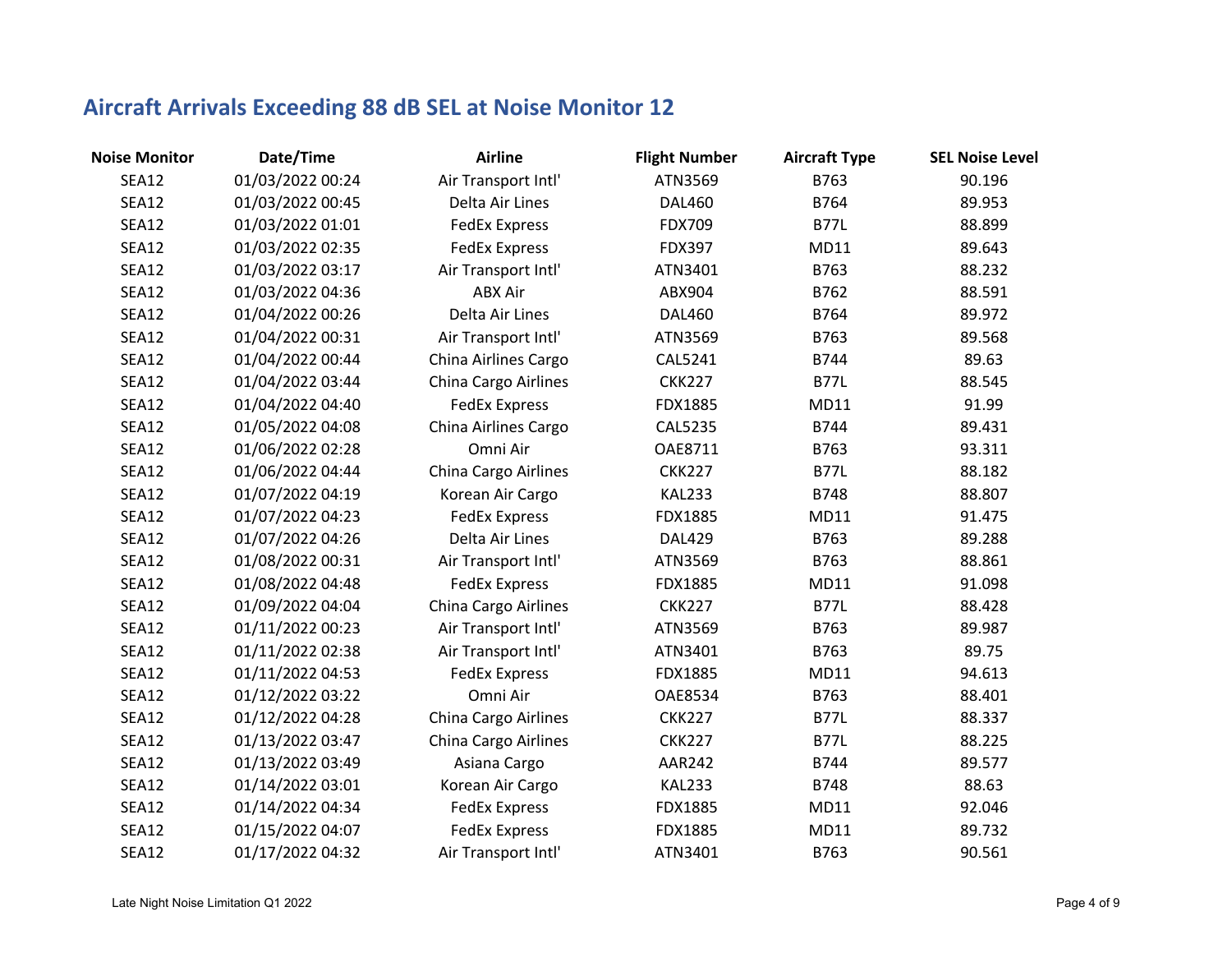| <b>Noise Monitor</b> | Date/Time        | <b>Airline</b>       | <b>Flight Number</b> | <b>Aircraft Type</b> | <b>SEL Noise Level</b> |
|----------------------|------------------|----------------------|----------------------|----------------------|------------------------|
| <b>SEA12</b>         | 01/03/2022 00:24 | Air Transport Intl'  | ATN3569              | B763                 | 90.196                 |
| SEA12                | 01/03/2022 00:45 | Delta Air Lines      | <b>DAL460</b>        | B764                 | 89.953                 |
| <b>SEA12</b>         | 01/03/2022 01:01 | <b>FedEx Express</b> | FDX709               | <b>B77L</b>          | 88.899                 |
| <b>SEA12</b>         | 01/03/2022 02:35 | <b>FedEx Express</b> | <b>FDX397</b>        | MD11                 | 89.643                 |
| SEA12                | 01/03/2022 03:17 | Air Transport Intl'  | ATN3401              | B763                 | 88.232                 |
| <b>SEA12</b>         | 01/03/2022 04:36 | <b>ABX Air</b>       | ABX904               | B762                 | 88.591                 |
| <b>SEA12</b>         | 01/04/2022 00:26 | Delta Air Lines      | <b>DAL460</b>        | B764                 | 89.972                 |
| SEA12                | 01/04/2022 00:31 | Air Transport Intl'  | ATN3569              | B763                 | 89.568                 |
| <b>SEA12</b>         | 01/04/2022 00:44 | China Airlines Cargo | CAL5241              | B744                 | 89.63                  |
| <b>SEA12</b>         | 01/04/2022 03:44 | China Cargo Airlines | <b>CKK227</b>        | <b>B77L</b>          | 88.545                 |
| SEA12                | 01/04/2022 04:40 | <b>FedEx Express</b> | FDX1885              | MD11                 | 91.99                  |
| <b>SEA12</b>         | 01/05/2022 04:08 | China Airlines Cargo | <b>CAL5235</b>       | B744                 | 89.431                 |
| <b>SEA12</b>         | 01/06/2022 02:28 | Omni Air             | OAE8711              | B763                 | 93.311                 |
| <b>SEA12</b>         | 01/06/2022 04:44 | China Cargo Airlines | <b>CKK227</b>        | <b>B77L</b>          | 88.182                 |
| <b>SEA12</b>         | 01/07/2022 04:19 | Korean Air Cargo     | <b>KAL233</b>        | B748                 | 88.807                 |
| <b>SEA12</b>         | 01/07/2022 04:23 | <b>FedEx Express</b> | FDX1885              | MD11                 | 91.475                 |
| <b>SEA12</b>         | 01/07/2022 04:26 | Delta Air Lines      | <b>DAL429</b>        | B763                 | 89.288                 |
| <b>SEA12</b>         | 01/08/2022 00:31 | Air Transport Intl'  | ATN3569              | B763                 | 88.861                 |
| SEA12                | 01/08/2022 04:48 | <b>FedEx Express</b> | FDX1885              | MD11                 | 91.098                 |
| SEA12                | 01/09/2022 04:04 | China Cargo Airlines | <b>CKK227</b>        | <b>B77L</b>          | 88.428                 |
| SEA12                | 01/11/2022 00:23 | Air Transport Intl'  | ATN3569              | B763                 | 89.987                 |
| <b>SEA12</b>         | 01/11/2022 02:38 | Air Transport Intl'  | ATN3401              | B763                 | 89.75                  |
| SEA12                | 01/11/2022 04:53 | <b>FedEx Express</b> | FDX1885              | MD11                 | 94.613                 |
| <b>SEA12</b>         | 01/12/2022 03:22 | Omni Air             | OAE8534              | B763                 | 88.401                 |
| <b>SEA12</b>         | 01/12/2022 04:28 | China Cargo Airlines | <b>CKK227</b>        | <b>B77L</b>          | 88.337                 |
| <b>SEA12</b>         | 01/13/2022 03:47 | China Cargo Airlines | <b>CKK227</b>        | <b>B77L</b>          | 88.225                 |
| <b>SEA12</b>         | 01/13/2022 03:49 | Asiana Cargo         | <b>AAR242</b>        | B744                 | 89.577                 |
| SEA12                | 01/14/2022 03:01 | Korean Air Cargo     | <b>KAL233</b>        | B748                 | 88.63                  |
| SEA12                | 01/14/2022 04:34 | <b>FedEx Express</b> | FDX1885              | MD11                 | 92.046                 |
| SEA12                | 01/15/2022 04:07 | <b>FedEx Express</b> | FDX1885              | <b>MD11</b>          | 89.732                 |
| <b>SEA12</b>         | 01/17/2022 04:32 | Air Transport Intl'  | ATN3401              | B763                 | 90.561                 |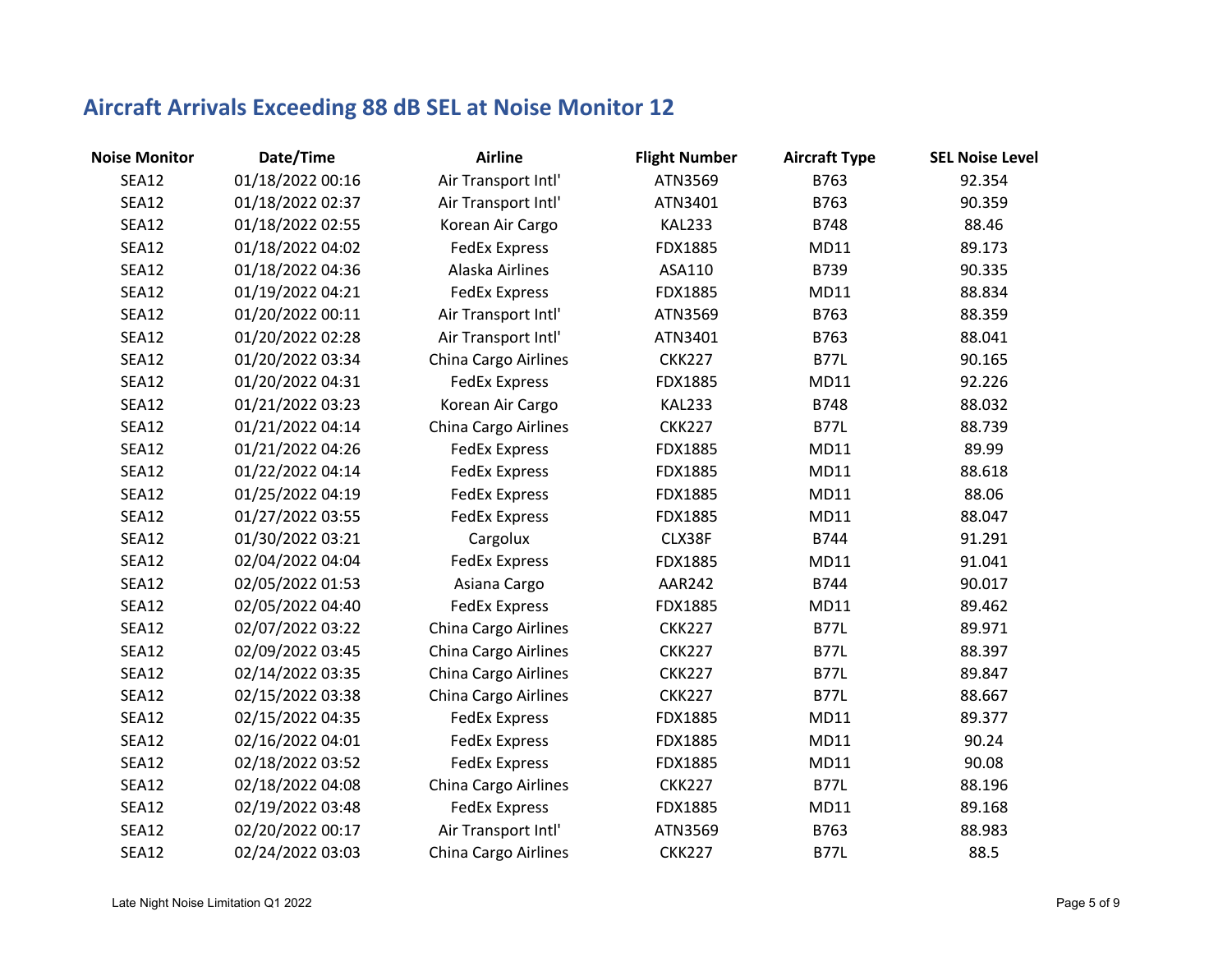| <b>Noise Monitor</b> | Date/Time        | <b>Airline</b>       | <b>Flight Number</b> | <b>Aircraft Type</b> | <b>SEL Noise Level</b> |
|----------------------|------------------|----------------------|----------------------|----------------------|------------------------|
| <b>SEA12</b>         | 01/18/2022 00:16 | Air Transport Intl'  | ATN3569              | B763                 | 92.354                 |
| SEA12                | 01/18/2022 02:37 | Air Transport Intl'  | ATN3401              | B763                 | 90.359                 |
| <b>SEA12</b>         | 01/18/2022 02:55 | Korean Air Cargo     | <b>KAL233</b>        | B748                 | 88.46                  |
| <b>SEA12</b>         | 01/18/2022 04:02 | <b>FedEx Express</b> | FDX1885              | MD11                 | 89.173                 |
| SEA12                | 01/18/2022 04:36 | Alaska Airlines      | ASA110               | B739                 | 90.335                 |
| <b>SEA12</b>         | 01/19/2022 04:21 | <b>FedEx Express</b> | FDX1885              | MD11                 | 88.834                 |
| <b>SEA12</b>         | 01/20/2022 00:11 | Air Transport Intl'  | ATN3569              | B763                 | 88.359                 |
| SEA12                | 01/20/2022 02:28 | Air Transport Intl'  | ATN3401              | B763                 | 88.041                 |
| <b>SEA12</b>         | 01/20/2022 03:34 | China Cargo Airlines | <b>CKK227</b>        | <b>B77L</b>          | 90.165                 |
| <b>SEA12</b>         | 01/20/2022 04:31 | <b>FedEx Express</b> | FDX1885              | MD11                 | 92.226                 |
| <b>SEA12</b>         | 01/21/2022 03:23 | Korean Air Cargo     | <b>KAL233</b>        | B748                 | 88.032                 |
| SEA12                | 01/21/2022 04:14 | China Cargo Airlines | <b>CKK227</b>        | <b>B77L</b>          | 88.739                 |
| SEA12                | 01/21/2022 04:26 | <b>FedEx Express</b> | FDX1885              | MD11                 | 89.99                  |
| <b>SEA12</b>         | 01/22/2022 04:14 | <b>FedEx Express</b> | FDX1885              | MD11                 | 88.618                 |
| <b>SEA12</b>         | 01/25/2022 04:19 | <b>FedEx Express</b> | FDX1885              | <b>MD11</b>          | 88.06                  |
| <b>SEA12</b>         | 01/27/2022 03:55 | <b>FedEx Express</b> | FDX1885              | MD11                 | 88.047                 |
| <b>SEA12</b>         | 01/30/2022 03:21 | Cargolux             | CLX38F               | B744                 | 91.291                 |
| SEA12                | 02/04/2022 04:04 | <b>FedEx Express</b> | FDX1885              | MD11                 | 91.041                 |
| SEA12                | 02/05/2022 01:53 | Asiana Cargo         | AAR242               | B744                 | 90.017                 |
| <b>SEA12</b>         | 02/05/2022 04:40 | <b>FedEx Express</b> | FDX1885              | MD11                 | 89.462                 |
| <b>SEA12</b>         | 02/07/2022 03:22 | China Cargo Airlines | <b>CKK227</b>        | <b>B77L</b>          | 89.971                 |
| <b>SEA12</b>         | 02/09/2022 03:45 | China Cargo Airlines | <b>CKK227</b>        | <b>B77L</b>          | 88.397                 |
| <b>SEA12</b>         | 02/14/2022 03:35 | China Cargo Airlines | <b>CKK227</b>        | <b>B77L</b>          | 89.847                 |
| <b>SEA12</b>         | 02/15/2022 03:38 | China Cargo Airlines | <b>CKK227</b>        | <b>B77L</b>          | 88.667                 |
| <b>SEA12</b>         | 02/15/2022 04:35 | <b>FedEx Express</b> | FDX1885              | MD11                 | 89.377                 |
| <b>SEA12</b>         | 02/16/2022 04:01 | <b>FedEx Express</b> | FDX1885              | MD11                 | 90.24                  |
| <b>SEA12</b>         | 02/18/2022 03:52 | <b>FedEx Express</b> | FDX1885              | MD11                 | 90.08                  |
| SEA12                | 02/18/2022 04:08 | China Cargo Airlines | <b>CKK227</b>        | <b>B77L</b>          | 88.196                 |
| SEA12                | 02/19/2022 03:48 | <b>FedEx Express</b> | FDX1885              | MD11                 | 89.168                 |
| SEA12                | 02/20/2022 00:17 | Air Transport Intl'  | ATN3569              | B763                 | 88.983                 |
| <b>SEA12</b>         | 02/24/2022 03:03 | China Cargo Airlines | <b>CKK227</b>        | <b>B77L</b>          | 88.5                   |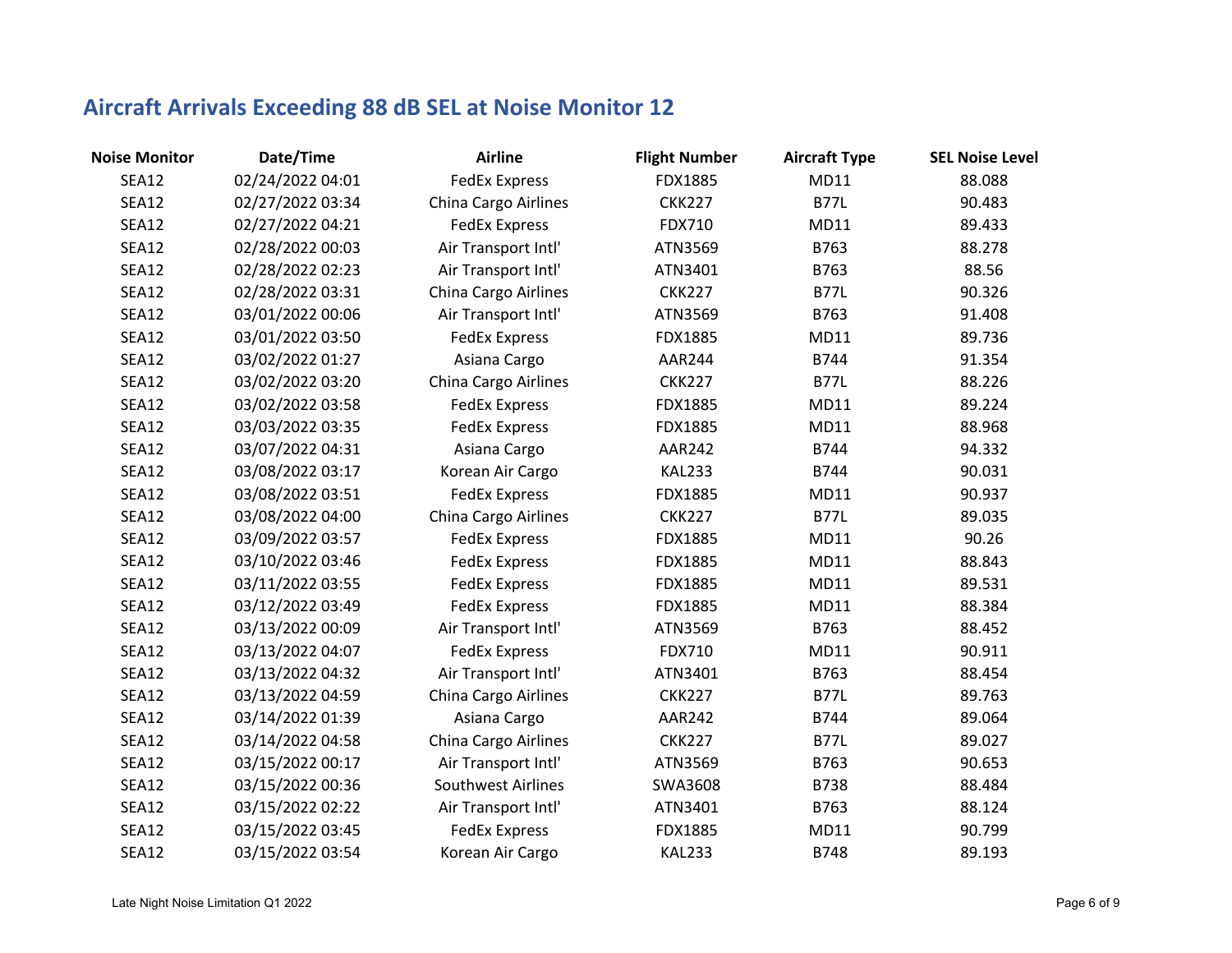| <b>Noise Monitor</b> | Date/Time        | <b>Airline</b>       | <b>Flight Number</b> | <b>Aircraft Type</b> | <b>SEL Noise Level</b> |
|----------------------|------------------|----------------------|----------------------|----------------------|------------------------|
| <b>SEA12</b>         | 02/24/2022 04:01 | <b>FedEx Express</b> | FDX1885              | MD11                 | 88.088                 |
| <b>SEA12</b>         | 02/27/2022 03:34 | China Cargo Airlines | <b>CKK227</b>        | <b>B77L</b>          | 90.483                 |
| <b>SEA12</b>         | 02/27/2022 04:21 | <b>FedEx Express</b> | <b>FDX710</b>        | MD11                 | 89.433                 |
| <b>SEA12</b>         | 02/28/2022 00:03 | Air Transport Intl'  | ATN3569              | B763                 | 88.278                 |
| <b>SEA12</b>         | 02/28/2022 02:23 | Air Transport Intl'  | ATN3401              | B763                 | 88.56                  |
| <b>SEA12</b>         | 02/28/2022 03:31 | China Cargo Airlines | <b>CKK227</b>        | <b>B77L</b>          | 90.326                 |
| <b>SEA12</b>         | 03/01/2022 00:06 | Air Transport Intl'  | ATN3569              | B763                 | 91.408                 |
| SEA12                | 03/01/2022 03:50 | <b>FedEx Express</b> | FDX1885              | MD11                 | 89.736                 |
| <b>SEA12</b>         | 03/02/2022 01:27 | Asiana Cargo         | AAR244               | B744                 | 91.354                 |
| <b>SEA12</b>         | 03/02/2022 03:20 | China Cargo Airlines | <b>CKK227</b>        | <b>B77L</b>          | 88.226                 |
| <b>SEA12</b>         | 03/02/2022 03:58 | <b>FedEx Express</b> | FDX1885              | MD11                 | 89.224                 |
| SEA12                | 03/03/2022 03:35 | <b>FedEx Express</b> | FDX1885              | MD11                 | 88.968                 |
| SEA12                | 03/07/2022 04:31 | Asiana Cargo         | AAR242               | B744                 | 94.332                 |
| SEA12                | 03/08/2022 03:17 | Korean Air Cargo     | <b>KAL233</b>        | B744                 | 90.031                 |
| <b>SEA12</b>         | 03/08/2022 03:51 | <b>FedEx Express</b> | FDX1885              | <b>MD11</b>          | 90.937                 |
| <b>SEA12</b>         | 03/08/2022 04:00 | China Cargo Airlines | <b>CKK227</b>        | <b>B77L</b>          | 89.035                 |
| <b>SEA12</b>         | 03/09/2022 03:57 | <b>FedEx Express</b> | FDX1885              | <b>MD11</b>          | 90.26                  |
| SEA12                | 03/10/2022 03:46 | <b>FedEx Express</b> | FDX1885              | MD11                 | 88.843                 |
| <b>SEA12</b>         | 03/11/2022 03:55 | <b>FedEx Express</b> | FDX1885              | MD11                 | 89.531                 |
| <b>SEA12</b>         | 03/12/2022 03:49 | <b>FedEx Express</b> | FDX1885              | MD11                 | 88.384                 |
| <b>SEA12</b>         | 03/13/2022 00:09 | Air Transport Intl'  | ATN3569              | B763                 | 88.452                 |
| <b>SEA12</b>         | 03/13/2022 04:07 | <b>FedEx Express</b> | FDX710               | MD11                 | 90.911                 |
| <b>SEA12</b>         | 03/13/2022 04:32 | Air Transport Intl'  | ATN3401              | B763                 | 88.454                 |
| <b>SEA12</b>         | 03/13/2022 04:59 | China Cargo Airlines | <b>CKK227</b>        | <b>B77L</b>          | 89.763                 |
| <b>SEA12</b>         | 03/14/2022 01:39 | Asiana Cargo         | <b>AAR242</b>        | B744                 | 89.064                 |
| <b>SEA12</b>         | 03/14/2022 04:58 | China Cargo Airlines | <b>CKK227</b>        | <b>B77L</b>          | 89.027                 |
| <b>SEA12</b>         | 03/15/2022 00:17 | Air Transport Intl'  | ATN3569              | B763                 | 90.653                 |
| SEA12                | 03/15/2022 00:36 | Southwest Airlines   | SWA3608              | B738                 | 88.484                 |
| SEA12                | 03/15/2022 02:22 | Air Transport Intl'  | ATN3401              | B763                 | 88.124                 |
| <b>SEA12</b>         | 03/15/2022 03:45 | <b>FedEx Express</b> | FDX1885              | MD11                 | 90.799                 |
| <b>SEA12</b>         | 03/15/2022 03:54 | Korean Air Cargo     | <b>KAL233</b>        | <b>B748</b>          | 89.193                 |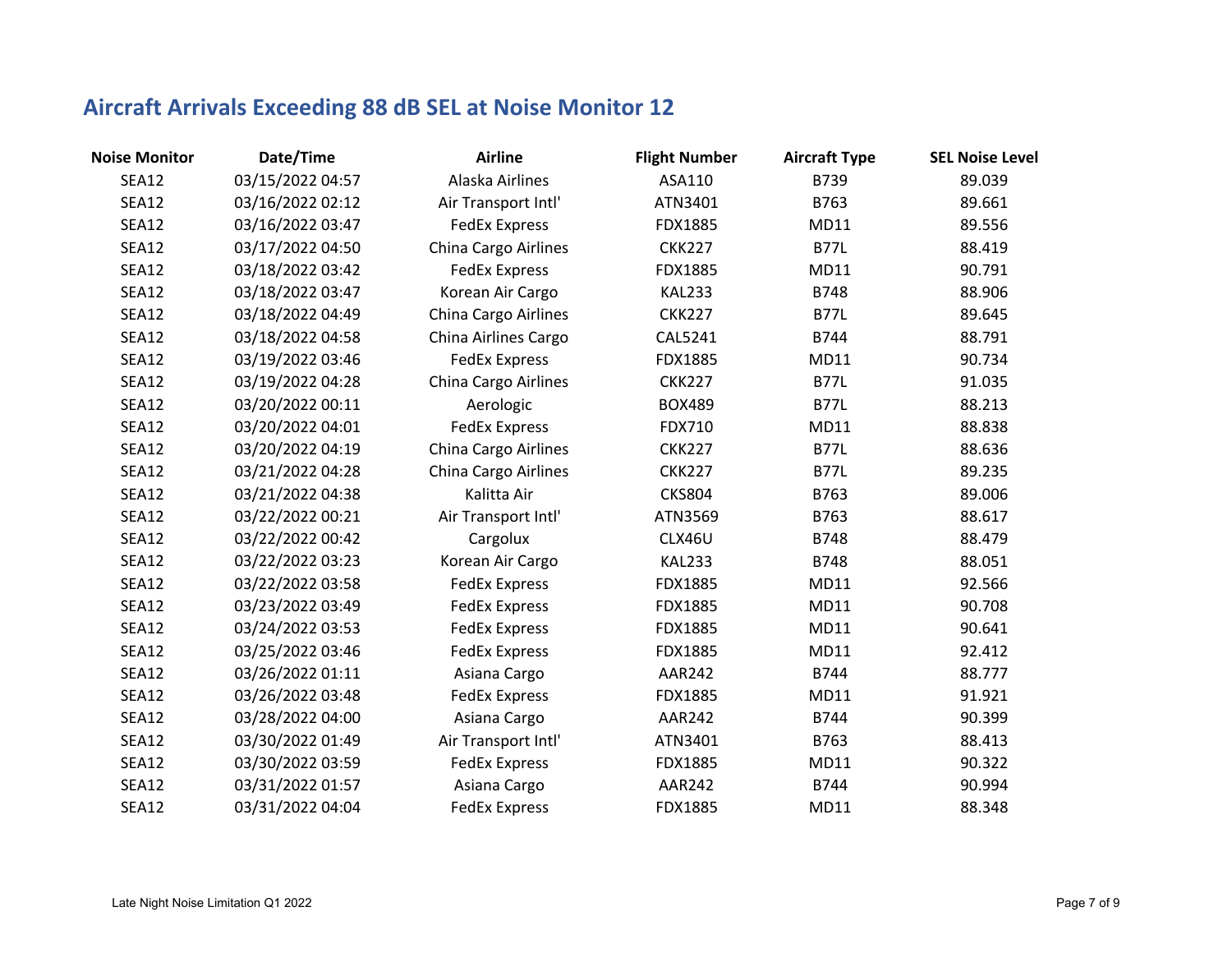| <b>Noise Monitor</b> | Date/Time        | <b>Airline</b>              | <b>Flight Number</b> | <b>Aircraft Type</b> | <b>SEL Noise Level</b> |
|----------------------|------------------|-----------------------------|----------------------|----------------------|------------------------|
| <b>SEA12</b>         | 03/15/2022 04:57 | Alaska Airlines             | ASA110               | B739                 | 89.039                 |
| <b>SEA12</b>         | 03/16/2022 02:12 | Air Transport Intl'         | ATN3401              | B763                 | 89.661                 |
| <b>SEA12</b>         | 03/16/2022 03:47 | <b>FedEx Express</b>        | FDX1885              | MD11                 | 89.556                 |
| <b>SEA12</b>         | 03/17/2022 04:50 | <b>China Cargo Airlines</b> | <b>CKK227</b>        | <b>B77L</b>          | 88.419                 |
| <b>SEA12</b>         | 03/18/2022 03:42 | <b>FedEx Express</b>        | FDX1885              | MD11                 | 90.791                 |
| <b>SEA12</b>         | 03/18/2022 03:47 | Korean Air Cargo            | <b>KAL233</b>        | B748                 | 88.906                 |
| <b>SEA12</b>         | 03/18/2022 04:49 | China Cargo Airlines        | <b>CKK227</b>        | <b>B77L</b>          | 89.645                 |
| <b>SEA12</b>         | 03/18/2022 04:58 | China Airlines Cargo        | CAL5241              | B744                 | 88.791                 |
| <b>SEA12</b>         | 03/19/2022 03:46 | <b>FedEx Express</b>        | FDX1885              | MD11                 | 90.734                 |
| <b>SEA12</b>         | 03/19/2022 04:28 | China Cargo Airlines        | <b>CKK227</b>        | <b>B77L</b>          | 91.035                 |
| <b>SEA12</b>         | 03/20/2022 00:11 | Aerologic                   | <b>BOX489</b>        | <b>B77L</b>          | 88.213                 |
| <b>SEA12</b>         | 03/20/2022 04:01 | <b>FedEx Express</b>        | FDX710               | MD11                 | 88.838                 |
| <b>SEA12</b>         | 03/20/2022 04:19 | China Cargo Airlines        | <b>CKK227</b>        | <b>B77L</b>          | 88.636                 |
| <b>SEA12</b>         | 03/21/2022 04:28 | China Cargo Airlines        | <b>CKK227</b>        | <b>B77L</b>          | 89.235                 |
| <b>SEA12</b>         | 03/21/2022 04:38 | Kalitta Air                 | <b>CKS804</b>        | B763                 | 89.006                 |
| <b>SEA12</b>         | 03/22/2022 00:21 | Air Transport Intl'         | ATN3569              | B763                 | 88.617                 |
| <b>SEA12</b>         | 03/22/2022 00:42 | Cargolux                    | CLX46U               | B748                 | 88.479                 |
| <b>SEA12</b>         | 03/22/2022 03:23 | Korean Air Cargo            | <b>KAL233</b>        | B748                 | 88.051                 |
| <b>SEA12</b>         | 03/22/2022 03:58 | <b>FedEx Express</b>        | FDX1885              | MD11                 | 92.566                 |
| <b>SEA12</b>         | 03/23/2022 03:49 | <b>FedEx Express</b>        | FDX1885              | MD11                 | 90.708                 |
| <b>SEA12</b>         | 03/24/2022 03:53 | <b>FedEx Express</b>        | FDX1885              | MD11                 | 90.641                 |
| <b>SEA12</b>         | 03/25/2022 03:46 | <b>FedEx Express</b>        | FDX1885              | MD11                 | 92.412                 |
| <b>SEA12</b>         | 03/26/2022 01:11 | Asiana Cargo                | <b>AAR242</b>        | B744                 | 88.777                 |
| <b>SEA12</b>         | 03/26/2022 03:48 | <b>FedEx Express</b>        | FDX1885              | <b>MD11</b>          | 91.921                 |
| <b>SEA12</b>         | 03/28/2022 04:00 | Asiana Cargo                | <b>AAR242</b>        | B744                 | 90.399                 |
| <b>SEA12</b>         | 03/30/2022 01:49 | Air Transport Intl'         | ATN3401              | B763                 | 88.413                 |
| <b>SEA12</b>         | 03/30/2022 03:59 | <b>FedEx Express</b>        | FDX1885              | MD11                 | 90.322                 |
| <b>SEA12</b>         | 03/31/2022 01:57 | Asiana Cargo                | <b>AAR242</b>        | B744                 | 90.994                 |
| <b>SEA12</b>         | 03/31/2022 04:04 | <b>FedEx Express</b>        | FDX1885              | <b>MD11</b>          | 88.348                 |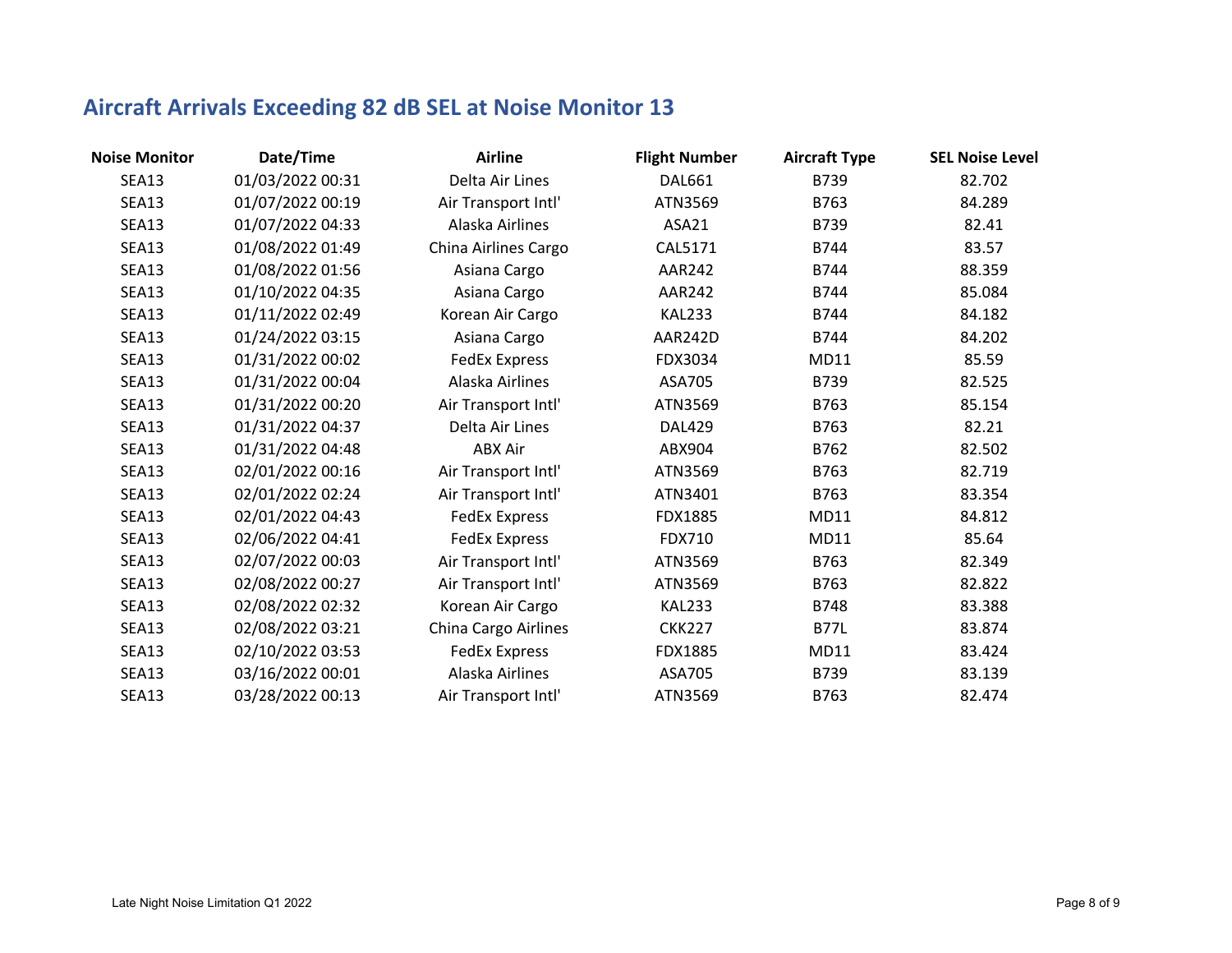| <b>Noise Monitor</b> | Date/Time        | <b>Airline</b>       | <b>Flight Number</b> | <b>Aircraft Type</b> | <b>SEL Noise Level</b> |
|----------------------|------------------|----------------------|----------------------|----------------------|------------------------|
| <b>SEA13</b>         | 01/03/2022 00:31 | Delta Air Lines      | <b>DAL661</b>        | B739                 | 82.702                 |
| <b>SEA13</b>         | 01/07/2022 00:19 | Air Transport Intl'  | ATN3569              | B763                 | 84.289                 |
| <b>SEA13</b>         | 01/07/2022 04:33 | Alaska Airlines      | ASA21                | B739                 | 82.41                  |
| <b>SEA13</b>         | 01/08/2022 01:49 | China Airlines Cargo | CAL5171              | B744                 | 83.57                  |
| <b>SEA13</b>         | 01/08/2022 01:56 | Asiana Cargo         | <b>AAR242</b>        | B744                 | 88.359                 |
| <b>SEA13</b>         | 01/10/2022 04:35 | Asiana Cargo         | <b>AAR242</b>        | B744                 | 85.084                 |
| <b>SEA13</b>         | 01/11/2022 02:49 | Korean Air Cargo     | <b>KAL233</b>        | B744                 | 84.182                 |
| <b>SEA13</b>         | 01/24/2022 03:15 | Asiana Cargo         | AAR242D              | B744                 | 84.202                 |
| <b>SEA13</b>         | 01/31/2022 00:02 | <b>FedEx Express</b> | FDX3034              | <b>MD11</b>          | 85.59                  |
| <b>SEA13</b>         | 01/31/2022 00:04 | Alaska Airlines      | ASA705               | B739                 | 82.525                 |
| <b>SEA13</b>         | 01/31/2022 00:20 | Air Transport Intl'  | ATN3569              | B763                 | 85.154                 |
| <b>SEA13</b>         | 01/31/2022 04:37 | Delta Air Lines      | <b>DAL429</b>        | B763                 | 82.21                  |
| <b>SEA13</b>         | 01/31/2022 04:48 | <b>ABX Air</b>       | ABX904               | B762                 | 82.502                 |
| <b>SEA13</b>         | 02/01/2022 00:16 | Air Transport Intl'  | ATN3569              | B763                 | 82.719                 |
| <b>SEA13</b>         | 02/01/2022 02:24 | Air Transport Intl'  | ATN3401              | B763                 | 83.354                 |
| <b>SEA13</b>         | 02/01/2022 04:43 | <b>FedEx Express</b> | FDX1885              | MD11                 | 84.812                 |
| <b>SEA13</b>         | 02/06/2022 04:41 | <b>FedEx Express</b> | <b>FDX710</b>        | <b>MD11</b>          | 85.64                  |
| <b>SEA13</b>         | 02/07/2022 00:03 | Air Transport Intl'  | ATN3569              | B763                 | 82.349                 |
| <b>SEA13</b>         | 02/08/2022 00:27 | Air Transport Intl'  | ATN3569              | B763                 | 82.822                 |
| <b>SEA13</b>         | 02/08/2022 02:32 | Korean Air Cargo     | <b>KAL233</b>        | B748                 | 83.388                 |
| <b>SEA13</b>         | 02/08/2022 03:21 | China Cargo Airlines | <b>CKK227</b>        | <b>B77L</b>          | 83.874                 |
| <b>SEA13</b>         | 02/10/2022 03:53 | <b>FedEx Express</b> | FDX1885              | MD11                 | 83.424                 |
| <b>SEA13</b>         | 03/16/2022 00:01 | Alaska Airlines      | ASA705               | B739                 | 83.139                 |
| <b>SEA13</b>         | 03/28/2022 00:13 | Air Transport Intl'  | ATN3569              | B763                 | 82.474                 |